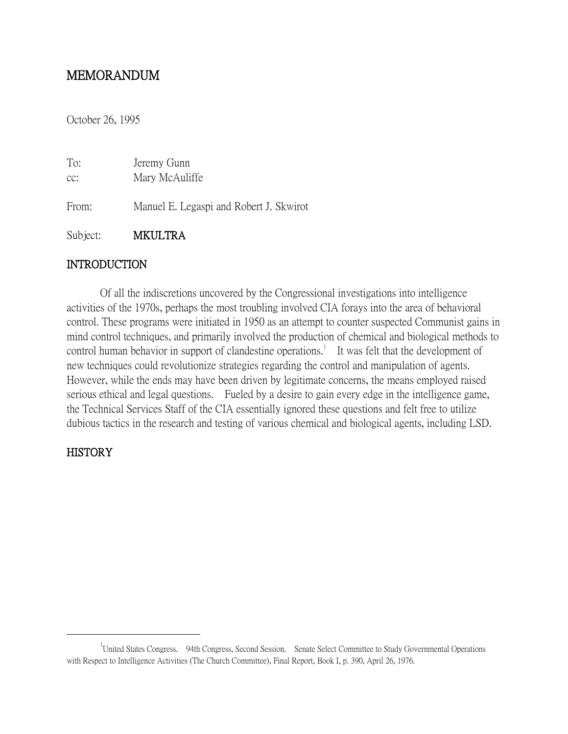# MEMORANDUM

October 26, 1995

| To:   | Jeremy Gunn                             |
|-------|-----------------------------------------|
| cc:   | Mary McAuliffe                          |
| From: | Manuel E. Legaspi and Robert J. Skwirot |

Subject: MKULTRA

## **INTRODUCTION**

Of all the indiscretions uncovered by the Congressional investigations into intelligence activities of the 1970s, perhaps the most troubling involved CIA forays into the area of behavioral control. These programs were initiated in 1950 as an attempt to counter suspected Communist gains in mind control techniques, and primarily involved the production of chemical and biological methods to control human behavior in support of clandestine operations.<sup>1</sup> It was felt that the development of new techniques could revolutionize strategies regarding the control and manipulation of agents. However, while the ends may have been driven by legitimate concerns, the means employed raised serious ethical and legal questions. Fueled by a desire to gain every edge in the intelligence game, the Technical Services Staff of the CIA essentially ignored these questions and felt free to utilize dubious tactics in the research and testing of various chemical and biological agents, including LSD.

# **HISTORY**

<sup>&</sup>lt;sup>1</sup>United States Congress. 94th Congress, Second Session. Senate Select Committee to Study Governmental Operations with Respect to Intelligence Activities (The Church Committee), Final Report, Book I, p. 390, April 26, 1976.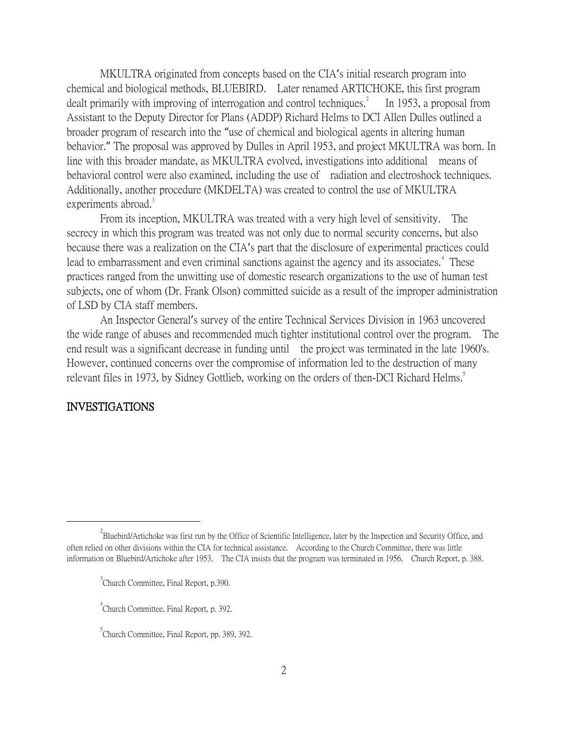MKULTRA originated from concepts based on the CIA's initial research program into chemical and biological methods, BLUEBIRD. Later renamed ARTICHOKE, this first program dealt primarily with improving of interrogation and control techniques.<sup>2</sup> In 1953, a proposal from Assistant to the Deputy Director for Plans (ADDP) Richard Helms to DCI Allen Dulles outlined a broader program of research into the "use of chemical and biological agents in altering human behavior." The proposal was approved by Dulles in April 1953, and project MKULTRA was born. In line with this broader mandate, as MKULTRA evolved, investigations into additional means of behavioral control were also examined, including the use of radiation and electroshock techniques. Additionally, another procedure (MKDELTA) was created to control the use of MKULTRA experiments abroad. $3$ 

From its inception, MKULTRA was treated with a very high level of sensitivity. The secrecy in which this program was treated was not only due to normal security concerns, but also because there was a realization on the CIA's part that the disclosure of experimental practices could lead to embarrassment and even criminal sanctions against the agency and its associates.<sup>4</sup> These practices ranged from the unwitting use of domestic research organizations to the use of human test subjects, one of whom (Dr. Frank Olson) committed suicide as a result of the improper administration of LSD by CIA staff members.

An Inspector General's survey of the entire Technical Services Division in 1963 uncovered the wide range of abuses and recommended much tighter institutional control over the program. The end result was a significant decrease in funding until the project was terminated in the late 1960's. However, continued concerns over the compromise of information led to the destruction of many relevant files in 1973, by Sidney Gottlieb, working on the orders of then-DCI Richard Helms.<sup>5</sup>

### INVESTIGATIONS

 $^{2}$ Bluebird/Artichoke was first run by the Office of Scientific Intelligence, later by the Inspection and Security Office, and often relied on other divisions within the CIA for technical assistance. According to the Church Committee, there was little information on Bluebird/Artichoke after 1953. The CIA insists that the program was terminated in 1956. Church Report, p. 388.

<sup>&</sup>lt;sup>3</sup> Church Committee, Final Report, p.390.

<sup>4</sup> Church Committee, Final Report, p. 392.

<sup>&</sup>lt;sup>5</sup> Church Committee, Final Report, pp. 389, 392.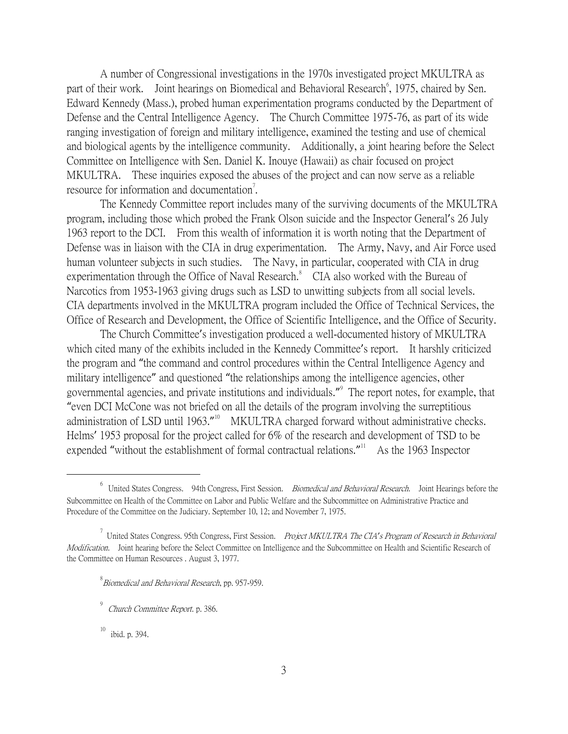A number of Congressional investigations in the 1970s investigated project MKULTRA as part of their work. Joint hearings on Biomedical and Behavioral Research<sup>6</sup>, 1975, chaired by Sen. Edward Kennedy (Mass.), probed human experimentation programs conducted by the Department of Defense and the Central Intelligence Agency. The Church Committee 1975-76, as part of its wide ranging investigation of foreign and military intelligence, examined the testing and use of chemical and biological agents by the intelligence community. Additionally, a joint hearing before the Select Committee on Intelligence with Sen. Daniel K. Inouye (Hawaii) as chair focused on project MKULTRA. These inquiries exposed the abuses of the project and can now serve as a reliable resource for information and documentation<sup>7</sup>.

The Kennedy Committee report includes many of the surviving documents of the MKULTRA program, including those which probed the Frank Olson suicide and the Inspector General's 26 July 1963 report to the DCI. From this wealth of information it is worth noting that the Department of Defense was in liaison with the CIA in drug experimentation. The Army, Navy, and Air Force used human volunteer subjects in such studies. The Navy, in particular, cooperated with CIA in drug experimentation through the Office of Naval Research. $\degree$  CIA also worked with the Bureau of Narcotics from 1953-1963 giving drugs such as LSD to unwitting subjects from all social levels. CIA departments involved in the MKULTRA program included the Office of Technical Services, the Office of Research and Development, the Office of Scientific Intelligence, and the Office of Security.

The Church Committee's investigation produced a well-documented history of MKULTRA which cited many of the exhibits included in the Kennedy Committee's report. It harshly criticized the program and "the command and control procedures within the Central Intelligence Agency and military intelligence" and questioned "the relationships among the intelligence agencies, other governmental agencies, and private institutions and individuals." 9 The report notes, for example, that "even DCI McCone was not briefed on all the details of the program involving the surreptitious administration of LSD until 1963."<sup>10</sup> MKULTRA charged forward without administrative checks. Helms' 1953 proposal for the project called for 6% of the research and development of TSD to be expended "without the establishment of formal contractual relations."<sup>11</sup> As the 1963 Inspector

 $^8$ Biomedical and Behavioral Research, pp. 957-959.

ibid. p. 394.

<sup>&</sup>lt;sup>6</sup> United States Congress. 94th Congress, First Session. *Biomedical and Behavioral Research*. Joint Hearings before the Subcommittee on Health of the Committee on Labor and Public Welfare and the Subcommittee on Administrative Practice and Procedure of the Committee on the Judiciary. September 10, 12; and November 7, 1975.

<sup>7</sup> United States Congress. 95th Congress, First Session. Project MKULTRA The CIA*'*s Program of Research in Behavioral Modification. Joint hearing before the Select Committee on Intelligence and the Subcommittee on Health and Scientific Research of the Committee on Human Resources . August 3, 1977.

<sup>&</sup>lt;sup>9</sup> *Church Committee Report*. p. 386.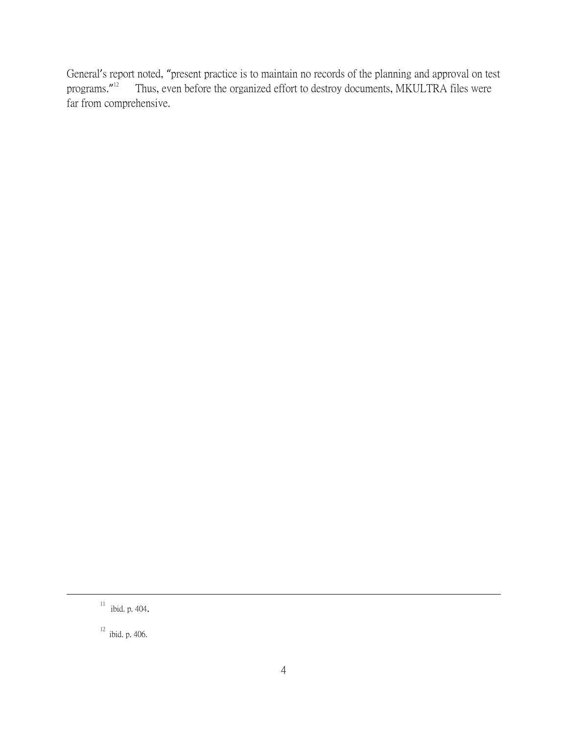General's report noted, "present practice is to maintain no records of the planning and approval on test programs."<sup>12</sup> Thus, even before the organized effort to destroy documents, MKULTRA files were far from comprehensive.

 $11$  ibid. p. 404.

 $12$  ibid. p. 406.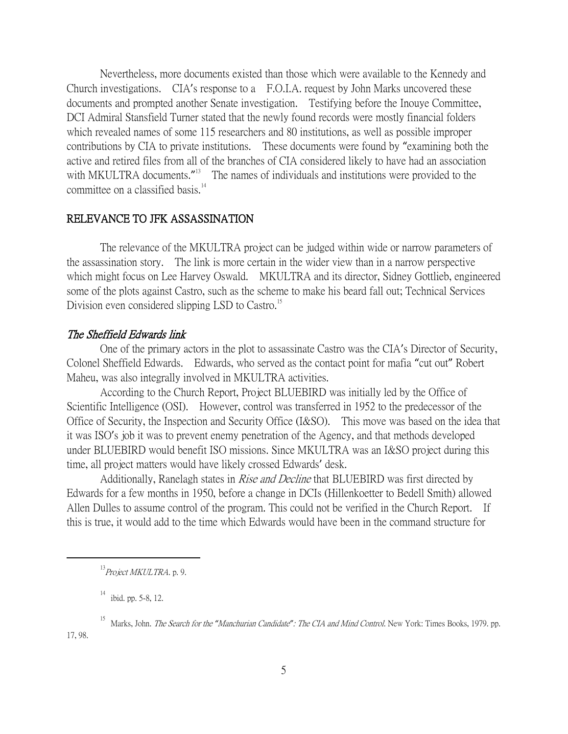Nevertheless, more documents existed than those which were available to the Kennedy and Church investigations. CIA's response to a F.O.I.A. request by John Marks uncovered these documents and prompted another Senate investigation. Testifying before the Inouye Committee, DCI Admiral Stansfield Turner stated that the newly found records were mostly financial folders which revealed names of some 115 researchers and 80 institutions, as well as possible improper contributions by CIA to private institutions. These documents were found by "examining both the active and retired files from all of the branches of CIA considered likely to have had an association with MKULTRA documents."<sup>13</sup> The names of individuals and institutions were provided to the committee on a classified basis.<sup>14</sup>

### RELEVANCE TO JFK ASSASSINATION

The relevance of the MKULTRA project can be judged within wide or narrow parameters of the assassination story. The link is more certain in the wider view than in a narrow perspective which might focus on Lee Harvey Oswald. MKULTRA and its director, Sidney Gottlieb, engineered some of the plots against Castro, such as the scheme to make his beard fall out; Technical Services Division even considered slipping LSD to Castro.<sup>15</sup>

#### The Sheffield Edwards link

One of the primary actors in the plot to assassinate Castro was the CIA's Director of Security, Colonel Sheffield Edwards. Edwards, who served as the contact point for mafia "cut out" Robert Maheu, was also integrally involved in MKULTRA activities.

According to the Church Report, Project BLUEBIRD was initially led by the Office of Scientific Intelligence (OSI). However, control was transferred in 1952 to the predecessor of the Office of Security, the Inspection and Security Office (I&SO). This move was based on the idea that it was ISO's job it was to prevent enemy penetration of the Agency, and that methods developed under BLUEBIRD would benefit ISO missions. Since MKULTRA was an I&SO project during this time, all project matters would have likely crossed Edwards' desk.

Additionally, Ranelagh states in *Rise and Decline* that BLUEBIRD was first directed by Edwards for a few months in 1950, before a change in DCIs (Hillenkoetter to Bedell Smith) allowed Allen Dulles to assume control of the program. This could not be verified in the Church Report. If this is true, it would add to the time which Edwards would have been in the command structure for

 $13$ Project MKULTRA, p. 9.

 $14$  ibid. pp. 5-8, 12.

<sup>15</sup> Marks, John. The Search for the *"*Manchurian Candidate*"*: The CIA and Mind Control. New York: Times Books, 1979. pp. 17, 98.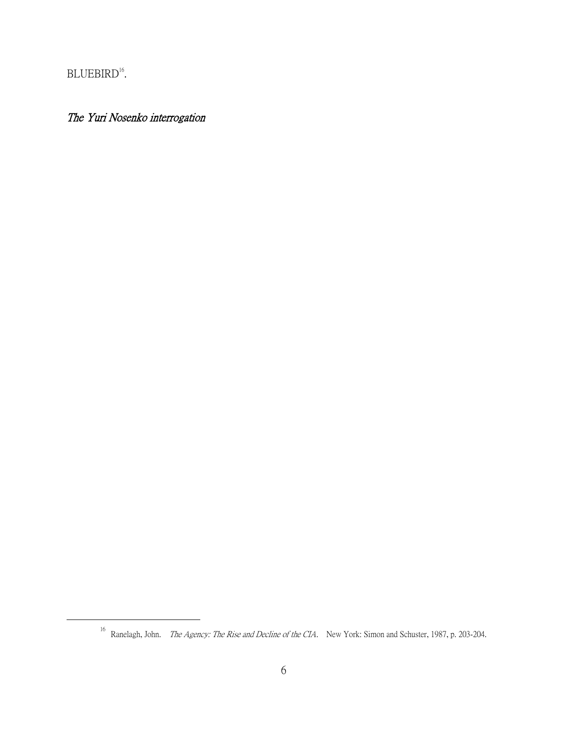BLUEBIRD<sup>16</sup>.

 $\overline{a}$ 

# The Yuri Nosenko interrogation

<sup>&</sup>lt;sup>16</sup> Ranelagh, John. *The Agency: The Rise and Decline of the CIA*. New York: Simon and Schuster, 1987, p. 203-204.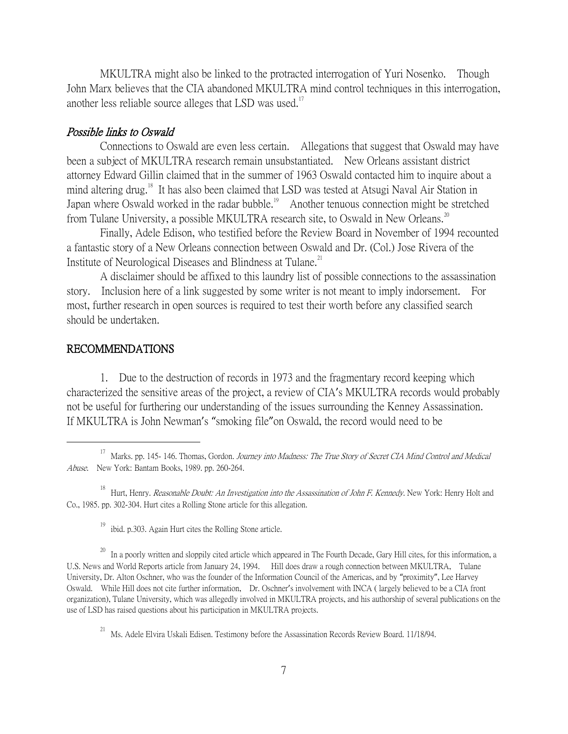MKULTRA might also be linked to the protracted interrogation of Yuri Nosenko. Though John Marx believes that the CIA abandoned MKULTRA mind control techniques in this interrogation, another less reliable source alleges that LSD was used.<sup>17</sup>

#### Possible links to Oswald

Connections to Oswald are even less certain. Allegations that suggest that Oswald may have been a subject of MKULTRA research remain unsubstantiated. New Orleans assistant district attorney Edward Gillin claimed that in the summer of 1963 Oswald contacted him to inquire about a mind altering drug.<sup>18</sup> It has also been claimed that LSD was tested at Atsugi Naval Air Station in Japan where Oswald worked in the radar bubble.<sup>19</sup> Another tenuous connection might be stretched from Tulane University, a possible MKULTRA research site, to Oswald in New Orleans.<sup>20</sup>

Finally, Adele Edison, who testified before the Review Board in November of 1994 recounted a fantastic story of a New Orleans connection between Oswald and Dr. (Col.) Jose Rivera of the Institute of Neurological Diseases and Blindness at Tulane.<sup>21</sup>

A disclaimer should be affixed to this laundry list of possible connections to the assassination story. Inclusion here of a link suggested by some writer is not meant to imply indorsement. For most, further research in open sources is required to test their worth before any classified search should be undertaken.

### RECOMMENDATIONS

 $\overline{a}$ 

1. Due to the destruction of records in 1973 and the fragmentary record keeping which characterized the sensitive areas of the project, a review of CIA's MKULTRA records would probably not be useful for furthering our understanding of the issues surrounding the Kenney Assassination. If MKULTRA is John Newman's "smoking file"on Oswald, the record would need to be

<sup>&</sup>lt;sup>17</sup> Marks. pp. 145- 146. Thomas, Gordon. *Journey into Madness: The True Story of Secret CIA Mind Control and Medical* Abuse. New York: Bantam Books, 1989. pp. 260-264.

<sup>&</sup>lt;sup>18</sup> Hurt, Henry. *Reasonable Doubt: An Investigation into the Assassination of John F. Kennedy*. New York: Henry Holt and Co., 1985. pp. 302-304. Hurt cites a Rolling Stone article for this allegation.

 $19$  ibid. p.303. Again Hurt cites the Rolling Stone article.

 $^{20}$  In a poorly written and sloppily cited article which appeared in The Fourth Decade, Gary Hill cites, for this information, a U.S. News and World Reports article from January 24, 1994. Hill does draw a rough connection between MKULTRA, Tulane University, Dr. Alton Oschner, who was the founder of the Information Council of the Americas, and by "proximity", Lee Harvey Oswald. While Hill does not cite further information, Dr. Oschner's involvement with INCA ( largely believed to be a CIA front organization), Tulane University, which was allegedly involved in MKULTRA projects, and his authorship of several publications on the use of LSD has raised questions about his participation in MKULTRA projects.

<sup>21</sup> Ms. Adele Elvira Uskali Edisen. Testimony before the Assassination Records Review Board. 11/18/94.